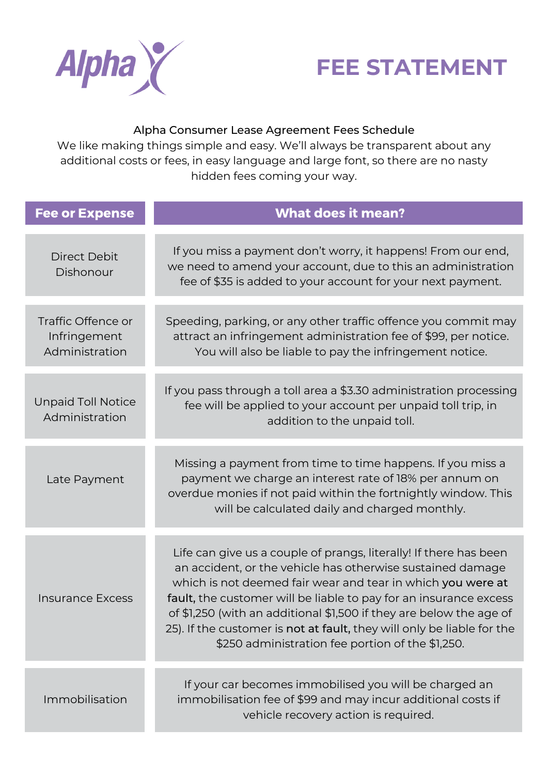



## Alpha Consumer Lease Agreement Fees Schedule

We like making things simple and easy. We'll always be transparent about any additional costs or fees, in easy language and large font, so there are no nasty hidden fees coming your way.

| <b>Fee or Expense</b>                                | <b>What does it mean?</b>                                                                                                                                                                                                                                                                                                                                                                                                                                                |
|------------------------------------------------------|--------------------------------------------------------------------------------------------------------------------------------------------------------------------------------------------------------------------------------------------------------------------------------------------------------------------------------------------------------------------------------------------------------------------------------------------------------------------------|
| <b>Direct Debit</b><br>Dishonour                     | If you miss a payment don't worry, it happens! From our end,<br>we need to amend your account, due to this an administration<br>fee of \$35 is added to your account for your next payment.                                                                                                                                                                                                                                                                              |
| Traffic Offence or<br>Infringement<br>Administration | Speeding, parking, or any other traffic offence you commit may<br>attract an infringement administration fee of \$99, per notice.<br>You will also be liable to pay the infringement notice.                                                                                                                                                                                                                                                                             |
| <b>Unpaid Toll Notice</b><br>Administration          | If you pass through a toll area a \$3.30 administration processing<br>fee will be applied to your account per unpaid toll trip, in<br>addition to the unpaid toll.                                                                                                                                                                                                                                                                                                       |
| Late Payment                                         | Missing a payment from time to time happens. If you miss a<br>payment we charge an interest rate of 18% per annum on<br>overdue monies if not paid within the fortnightly window. This<br>will be calculated daily and charged monthly.                                                                                                                                                                                                                                  |
| <b>Insurance Excess</b>                              | Life can give us a couple of prangs, literally! If there has been<br>an accident, or the vehicle has otherwise sustained damage<br>which is not deemed fair wear and tear in which you were at<br>fault, the customer will be liable to pay for an insurance excess<br>of \$1,250 (with an additional \$1,500 if they are below the age of<br>25). If the customer is not at fault, they will only be liable for the<br>\$250 administration fee portion of the \$1,250. |
| Immobilisation                                       | If your car becomes immobilised you will be charged an<br>immobilisation fee of \$99 and may incur additional costs if<br>vehicle recovery action is required.                                                                                                                                                                                                                                                                                                           |